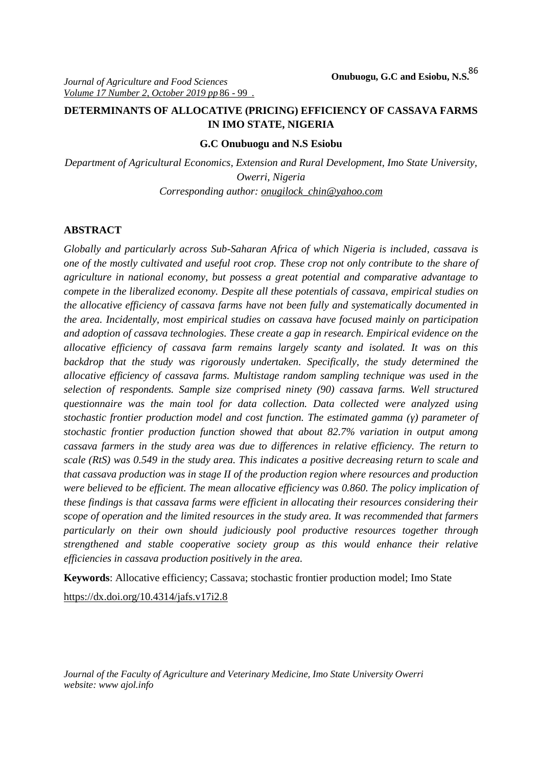# **DETERMINANTS OF ALLOCATIVE (PRICING) EFFICIENCY OF CASSAVA FARMS IN IMO STATE, NIGERIA**

#### **G.C Onubuogu and N.S Esiobu**

*Department of Agricultural Economics, Extension and Rural Development, Imo State University, Owerri, Nigeria Corresponding author: onugilock\_chin@yahoo.com*

### **ABSTRACT**

*Globally and particularly across Sub-Saharan Africa of which Nigeria is included, cassava is one of the mostly cultivated and useful root crop. These crop not only contribute to the share of agriculture in national economy, but possess a great potential and comparative advantage to compete in the liberalized economy. Despite all these potentials of cassava, empirical studies on the allocative efficiency of cassava farms have not been fully and systematically documented in the area. Incidentally, most empirical studies on cassava have focused mainly on participation and adoption of cassava technologies. These create a gap in research. Empirical evidence on the allocative efficiency of cassava farm remains largely scanty and isolated. It was on this backdrop that the study was rigorously undertaken. Specifically, the study determined the allocative efficiency of cassava farms. Multistage random sampling technique was used in the selection of respondents. Sample size comprised ninety (90) cassava farms. Well structured questionnaire was the main tool for data collection. Data collected were analyzed using stochastic frontier production model and cost function. The estimated gamma ( ) parameter of stochastic frontier production function showed that about 82.7% variation in output among cassava farmers in the study area was due to differences in relative efficiency. The return to scale (RtS) was 0.549 in the study area. This indicates a positive decreasing return to scale and that cassava production was in stage II of the production region where resources and production were believed to be efficient. The mean allocative efficiency was 0.860. The policy implication of these findings is that cassava farms were efficient in allocating their resources considering their scope of operation and the limited resources in the study area. It was recommended that farmers particularly on their own should judiciously pool productive resources together through strengthened and stable cooperative society group as this would enhance their relative efficiencies in cassava production positively in the area.*

**Keywords**: Allocative efficiency; Cassava; stochastic frontier production model; Imo State

https://dx.doi.org/10.4314/jafs.v17i2.8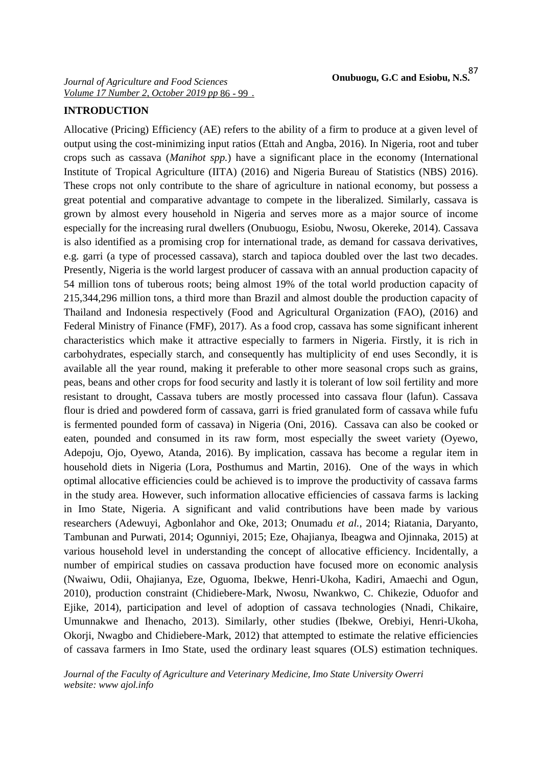### **INTRODUCTION**

Allocative (Pricing) Efficiency (AE) refers to the ability of a firm to produce at a given level of output using the cost-minimizing input ratios (Ettah and Angba, 2016). In Nigeria, root and tuber crops such as cassava (*Manihot spp.*) have a significant place in the economy (International Institute of Tropical Agriculture (IITA) (2016) and Nigeria Bureau of Statistics (NBS) 2016). These crops not only contribute to the share of agriculture in national economy, but possess a great potential and comparative advantage to compete in the liberalized. Similarly, cassava is grown by almost every household in Nigeria and serves more as a major source of income especially for the increasing rural dwellers (Onubuogu, Esiobu, Nwosu, Okereke, 2014). Cassava is also identified as a promising crop for international trade, as demand for cassava derivatives, e.g. garri (a type of processed cassava), starch and tapioca doubled over the last two decades. Presently, Nigeria is the world largest producer of cassava with an annual production capacity of 54 million tons of tuberous roots; being almost 19% of the total world production capacity of 215,344,296 million tons, a third more than Brazil and almost double the production capacity of Thailand and Indonesia respectively (Food and Agricultural Organization (FAO), (2016) and Federal Ministry of Finance (FMF), 2017). As a food crop, cassava has some significant inherent characteristics which make it attractive especially to farmers in Nigeria. Firstly, it is rich in carbohydrates, especially starch, and consequently has multiplicity of end uses Secondly, it is available all the year round, making it preferable to other more seasonal crops such as grains, peas, beans and other crops for food security and lastly it is tolerant of low soil fertility and more resistant to drought, Cassava tubers are mostly processed into cassava flour (lafun). Cassava flour is dried and powdered form of cassava, garri is fried granulated form of cassava while fufu is fermented pounded form of cassava) in Nigeria (Oni, 2016). Cassava can also be cooked or eaten, pounded and consumed in its raw form, most especially the sweet variety (Oyewo, Adepoju, Ojo, Oyewo, Atanda, 2016). By implication, cassava has become a regular item in household diets in Nigeria (Lora, Posthumus and Martin, 2016). One of the ways in which optimal allocative efficiencies could be achieved is to improve the productivity of cassava farms in the study area. However, such information allocative efficiencies of cassava farms is lacking in Imo State, Nigeria. A significant and valid contributions have been made by various researchers (Adewuyi, Agbonlahor and Oke, 2013; Onumadu *et al.,* 2014; Riatania, Daryanto, Tambunan and Purwati, 2014; Ogunniyi, 2015; Eze, Ohajianya, Ibeagwa and Ojinnaka, 2015) at various household level in understanding the concept of allocative efficiency. Incidentally, a number of empirical studies on cassava production have focused more on economic analysis (Nwaiwu, Odii, Ohajianya, Eze, Oguoma, Ibekwe, Henri-Ukoha, Kadiri, Amaechi and Ogun, 2010), production constraint (Chidiebere-Mark, Nwosu, Nwankwo, C. Chikezie, Oduofor and Ejike, 2014), participation and level of adoption of cassava technologies (Nnadi, Chikaire, Umunnakwe and Ihenacho, 2013). Similarly, other studies (Ibekwe, Orebiyi, Henri-Ukoha, Okorji, Nwagbo and Chidiebere-Mark, 2012) that attempted to estimate the relative efficiencies of cassava farmers in Imo State, used the ordinary least squares (OLS) estimation techniques.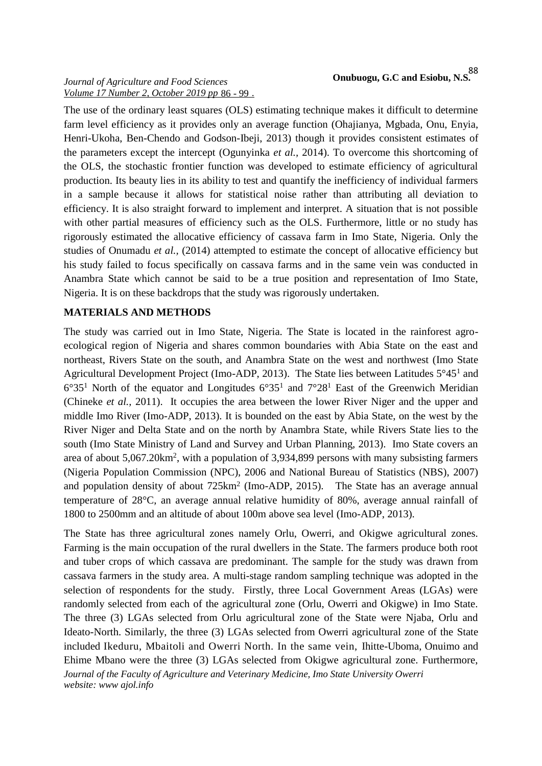The use of the ordinary least squares (OLS) estimating technique makes it difficult to determine farm level efficiency as it provides only an average function (Ohajianya, Mgbada, Onu, Enyia, Henri-Ukoha, Ben-Chendo and Godson-Ibeji, 2013) though it provides consistent estimates of the parameters except the intercept (Ogunyinka *et al.,* 2014). To overcome this shortcoming of the OLS, the stochastic frontier function was developed to estimate efficiency of agricultural production. Its beauty lies in its ability to test and quantify the inefficiency of individual farmers in a sample because it allows for statistical noise rather than attributing all deviation to efficiency. It is also straight forward to implement and interpret. A situation that is not possible with other partial measures of efficiency such as the OLS. Furthermore, little or no study has rigorously estimated the allocative efficiency of cassava farm in Imo State, Nigeria. Only the studies of Onumadu *et al.,* (2014) attempted to estimate the concept of allocative efficiency but his study failed to focus specifically on cassava farms and in the same vein was conducted in Anambra State which cannot be said to be a true position and representation of Imo State, Nigeria. It is on these backdrops that the study was rigorously undertaken.

# **MATERIALS AND METHODS**

The study was carried out in Imo State, Nigeria. The State is located in the rainforest agro ecological region of Nigeria and shares common boundaries with Abia State on the east and northeast, Rivers State on the south, and Anambra State on the west and northwest (Imo State Agricultural Development Project (Imo-ADP, 2013). The State lies between Latitudes 5°45<sup>1</sup> and  $6^{\circ}35^1$  North of the equator and Longitudes  $6^{\circ}35^1$  and  $7^{\circ}28^1$  East of the Greenwich Meridian (Chineke *et al.,* 2011). It occupies the area between the lower River Niger and the upper and middle Imo River (Imo-ADP, 2013). It is bounded on the east by Abia State, on the west by the River Niger and Delta State and on the north by Anambra State, while Rivers State lies to the south (Imo State Ministry of Land and Survey and Urban Planning, 2013). Imo State covers an area of about 5,067.20km<sup>2</sup>, with a population of 3,934,899 persons with many subsisting farmers (Nigeria Population Commission (NPC), 2006 and National Bureau of Statistics (NBS), 2007) and population density of about 725km<sup>2</sup> (Imo-ADP, 2015). The State has an average annual temperature of 28°C, an average annual relative humidity of 80%, average annual rainfall of 1800 to 2500mm and an altitude of about 100m above sea level (Imo-ADP, 2013).

*Journal of the Faculty of Agriculture and Veterinary Medicine, Imo State University Owerri website: www ajol.info* The State has three agricultural zones namely Orlu, Owerri, and Okigwe agricultural zones. Farming is the main occupation of the rural dwellers in the State. The farmers produce both root and tuber crops of which cassava are predominant. The sample for the study was drawn from cassava farmers in the study area. A multi-stage random sampling technique was adopted in the selection of respondents for the study. Firstly, three Local Government Areas (LGAs) were randomly selected from each of the agricultural zone (Orlu, Owerri and Okigwe) in Imo State. The three (3) LGAs selected from Orlu agricultural zone of the State were Njaba, Orlu and Ideato-North. Similarly, the three (3) LGAs selected from Owerri agricultural zone of the State included Ikeduru, Mbaitoli and Owerri North. In the same vein, Ihitte-Uboma, Onuimo and Ehime Mbano were the three (3) LGAs selected from Okigwe agricultural zone. Furthermore,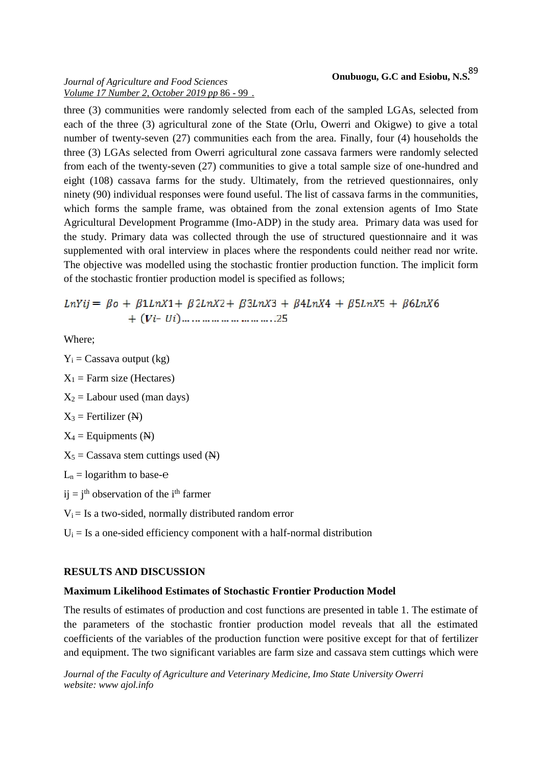three (3) communities were randomly selected from each of the sampled LGAs, selected from each of the three (3) agricultural zone of the State (Orlu, Owerri and Okigwe) to give a total number of twenty-seven (27) communities each from the area. Finally, four (4) households the three (3) LGAs selected from Owerri agricultural zone cassava farmers were randomly selected from each of the twenty-seven (27) communities to give a total sample size of one-hundred and eight (108) cassava farms for the study. Ultimately, from the retrieved questionnaires, only ninety (90) individual responses were found useful. The list of cassava farms in the communities, which forms the sample frame, was obtained from the zonal extension agents of Imo State Agricultural Development Programme (Imo-ADP) in the study area. Primary data was used for the study. Primary data was collected through the use of structured questionnaire and it was supplemented with oral interview in places where the respondents could neither read nor write. The objective was modelled using the stochastic frontier production function. The implicit form of the stochastic frontier production model is specified as follows;

 $LnYij = \beta o + \beta 1LnX1 + \beta 2LnX2 + \beta 3LnX3 + \beta 4LnX4 + \beta 5LnX5 + \beta 6LnX6$ 

Where;

 $Y_i$  = Cassava output (kg)  $X_1$  = Farm size (Hectares)  $X_2$  = Labour used (man days)  $X_3$  = Fertilizer (N)  $X_4$  = Equipments (N)  $X_5$  = Cassava stem cuttings used (N)  $L_n =$ logarithm to base $i = j<sup>th</sup>$  observation of the i<sup>th</sup> farmer  $V_i = Is a two-sided, normally distributed random error$  $U_i = Is a one-sided efficiency component with a half-normal distribution$ 

# **RESULTS AND DISCUSSION**

#### **Maximum Likelihood Estimates of Stochastic Frontier Production Model**

The results of estimates of production and cost functions are presented in table 1. The estimate of the parameters of the stochastic frontier production model reveals that all the estimated coefficients of the variables of the production function were positive except for that of fertilizer and equipment. The two significant variables are farm size and cassava stem cuttings which were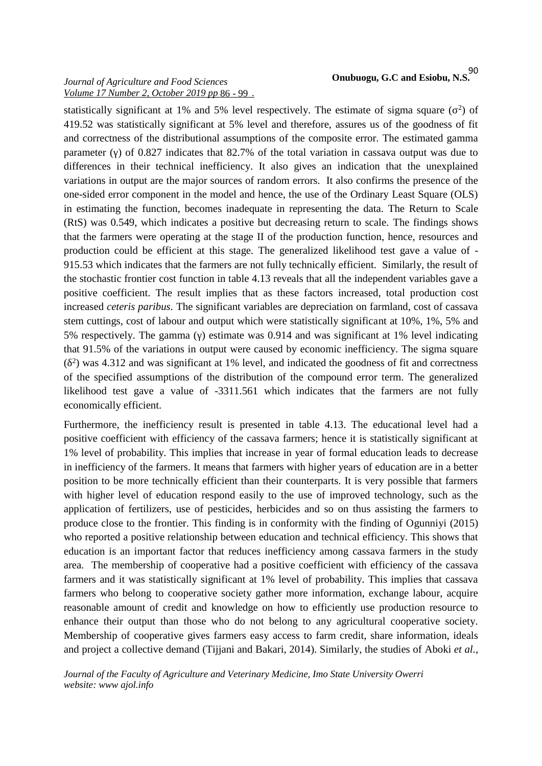statistically significant at 1% and 5% level respectively. The estimate of sigma square  $(2)$  of 419.52 was statistically significant at 5% level and therefore, assures us of the goodness of fit and correctness of the distributional assumptions of the composite error. The estimated gamma parameter () of 0.827 indicates that 82.7% of the total variation in cassava output was due to differences in their technical inefficiency. It also gives an indication that the unexplained variations in output are the major sources of random errors. It also confirms the presence of the one-sided error component in the model and hence, the use of the Ordinary Least Square (OLS) in estimating the function, becomes inadequate in representing the data. The Return to Scale (RtS) was 0.549, which indicates a positive but decreasing return to scale. The findings shows that the farmers were operating at the stage II of the production function, hence, resources and production could be efficient at this stage. The generalized likelihood test gave a value of - 915.53 which indicates that the farmers are not fully technically efficient. Similarly, the result of the stochastic frontier cost function in table 4.13 reveals that all the independent variables gave a positive coefficient. The result implies that as these factors increased, total production cost increased *ceteris paribus.* The significant variables are depreciation on farmland, cost of cassava stem cuttings, cost of labour and output which were statistically significant at 10%, 1%, 5% and 5% respectively. The gamma () estimate was 0.914 and was significant at 1% level indicating that 91.5% of the variations in output were caused by economic inefficiency. The sigma square  $(2)$  was 4.312 and was significant at 1% level, and indicated the goodness of fit and correctness of the specified assumptions of the distribution of the compound error term. The generalized likelihood test gave a value of -3311.561 which indicates that the farmers are not fully economically efficient.

Furthermore, the inefficiency result is presented in table 4.13. The educational level had a positive coefficient with efficiency of the cassava farmers; hence it is statistically significant at 1% level of probability. This implies that increase in year of formal education leads to decrease in inefficiency of the farmers. It means that farmers with higher years of education are in a better position to be more technically efficient than their counterparts. It is very possible that farmers with higher level of education respond easily to the use of improved technology, such as the application of fertilizers, use of pesticides, herbicides and so on thus assisting the farmers to produce close to the frontier. This finding is in conformity with the finding of Ogunniyi (2015) who reported a positive relationship between education and technical efficiency. This shows that education is an important factor that reduces inefficiency among cassava farmers in the study area. The membership of cooperative had a positive coefficient with efficiency of the cassava farmers and it was statistically significant at 1% level of probability. This implies that cassava farmers who belong to cooperative society gather more information, exchange labour, acquire reasonable amount of credit and knowledge on how to efficiently use production resource to enhance their output than those who do not belong to any agricultural cooperative society. Membership of cooperative gives farmers easy access to farm credit, share information, ideals and project a collective demand (Tijjani and Bakari, 2014). Similarly, the studies of Aboki *et al.,*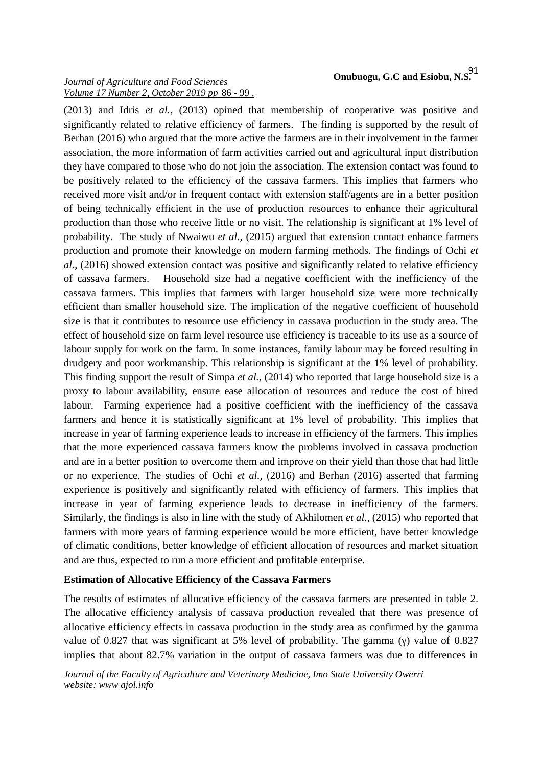(2013) and Idris *et al.,* (2013) opined that membership of cooperative was positive and significantly related to relative efficiency of farmers. The finding is supported by the result of

Berhan (2016) who argued that the more active the farmers are in their involvement in the farmer association, the more information of farm activities carried out and agricultural input distribution they have compared to those who do not join the association. The extension contact was found to be positively related to the efficiency of the cassava farmers. This implies that farmers who received more visit and/or in frequent contact with extension staff/agents are in a better position of being technically efficient in the use of production resources to enhance their agricultural production than those who receive little or no visit. The relationship is significant at 1% level of probability. The study of Nwaiwu *et al.,* (2015) argued that extension contact enhance farmers production and promote their knowledge on modern farming methods. The findings of Ochi *et al.,* (2016) showed extension contact was positive and significantly related to relative efficiency of cassava farmers. Household size had a negative coefficient with the inefficiency of the cassava farmers. This implies that farmers with larger household size were more technically efficient than smaller household size. The implication of the negative coefficient of household size is that it contributes to resource use efficiency in cassava production in the study area. The effect of household size on farm level resource use efficiency is traceable to its use as a source of labour supply for work on the farm. In some instances, family labour may be forced resulting in drudgery and poor workmanship. This relationship is significant at the 1% level of probability. This finding support the result of Simpa *et al.,* (2014) who reported that large household size is a proxy to labour availability, ensure ease allocation of resources and reduce the cost of hired labour. Farming experience had a positive coefficient with the inefficiency of the cassava farmers and hence it is statistically significant at 1% level of probability. This implies that increase in year of farming experience leads to increase in efficiency of the farmers. This implies that the more experienced cassava farmers know the problems involved in cassava production and are in a better position to overcome them and improve on their yield than those that had little or no experience. The studies of Ochi *et al.,* (2016) and Berhan (2016) asserted that farming experience is positively and significantly related with efficiency of farmers. This implies that increase in year of farming experience leads to decrease in inefficiency of the farmers. Similarly, the findings is also in line with the study of Akhilomen *et al.,* (2015) who reported that farmers with more years of farming experience would be more efficient, have better knowledge of climatic conditions, better knowledge of efficient allocation of resources and market situation and are thus, expected to run a more efficient and profitable enterprise.

# **Estimation of Allocative Efficiency of the Cassava Farmers**

The results of estimates of allocative efficiency of the cassava farmers are presented in table 2. The allocative efficiency analysis of cassava production revealed that there was presence of allocative efficiency effects in cassava production in the study area as confirmed by the gamma value of 0.827 that was significant at 5% level of probability. The gamma () value of 0.827 implies that about 82.7% variation in the output of cassava farmers was due to differences in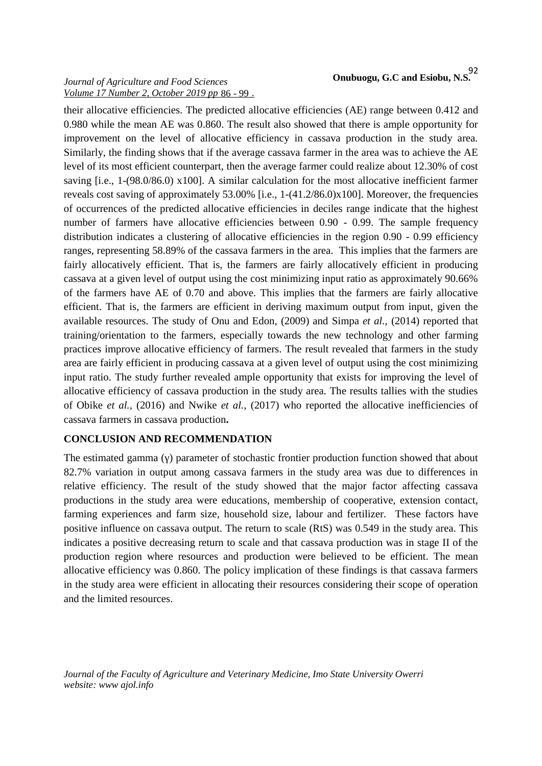their allocative efficiencies. The predicted allocative efficiencies (AE) range between 0.412 and 0.980 while the mean AE was 0.860. The result also showed that there is ample opportunity for improvement on the level of allocative efficiency in cassava production in the study area. Similarly, the finding shows that if the average cassava farmer in the area was to achieve the AE level of its most efficient counterpart, then the average farmer could realize about 12.30% of cost saving [i.e., 1-(98.0/86.0) x100]. A similar calculation for the most allocative inefficient farmer reveals cost saving of approximately 53.00% [i.e., 1-(41.2/86.0)x100]. Moreover, the frequencies of occurrences of the predicted allocative efficiencies in deciles range indicate that the highest number of farmers have allocative efficiencies between 0.90 - 0.99. The sample frequency distribution indicates a clustering of allocative efficiencies in the region 0.90 - 0.99 efficiency ranges, representing 58.89% of the cassava farmers in the area. This implies that the farmers are fairly allocatively efficient. That is, the farmers are fairly allocatively efficient in producing cassava at a given level of output using the cost minimizing input ratio as approximately 90.66% of the farmers have AE of 0.70 and above. This implies that the farmers are fairly allocative efficient. That is, the farmers are efficient in deriving maximum output from input, given the available resources. The study of Onu and Edon, (2009) and Simpa *et al.,* (2014) reported that training/orientation to the farmers, especially towards the new technology and other farming practices improve allocative efficiency of farmers. The result revealed that farmers in the study area are fairly efficient in producing cassava at a given level of output using the cost minimizing input ratio. The study further revealed ample opportunity that exists for improving the level of allocative efficiency of cassava production in the study area. The results tallies with the studies of Obike *et al.,* (2016) and Nwike *et al.,* (2017) who reported the allocative inefficiencies of cassava farmers in cassava production**.**

# **CONCLUSION AND RECOMMENDATION**

The estimated gamma ( ) parameter of stochastic frontier production function showed that about 82.7% variation in output among cassava farmers in the study area was due to differences in relative efficiency. The result of the study showed that the major factor affecting cassava productions in the study area were educations, membership of cooperative, extension contact, farming experiences and farm size, household size, labour and fertilizer. These factors have positive influence on cassava output. The return to scale (RtS) was 0.549 in the study area. This indicates a positive decreasing return to scale and that cassava production was in stage II of the production region where resources and production were believed to be efficient. The mean allocative efficiency was 0.860. The policy implication of these findings is that cassava farmers in the study area were efficient in allocating their resources considering their scope of operation and the limited resources.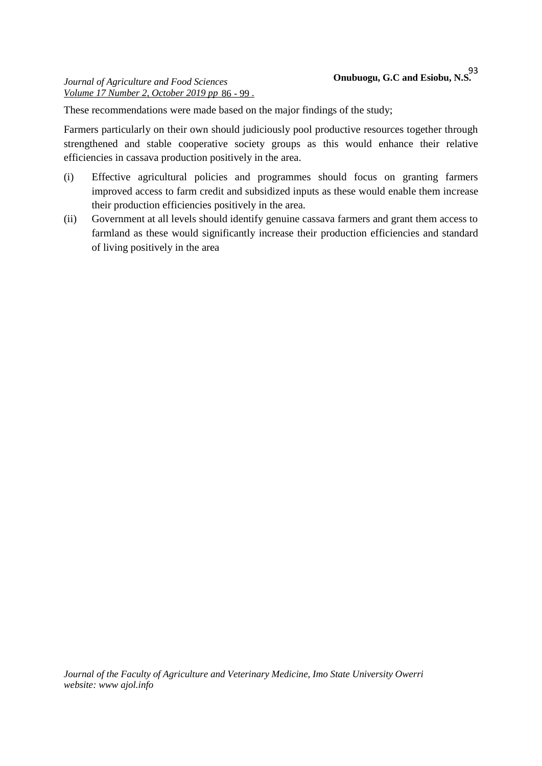These recommendations were made based on the major findings of the study;

Farmers particularly on their own should judiciously pool productive resources together through strengthened and stable cooperative society groups as this would enhance their relative efficiencies in cassava production positively in the area.

- (i) Effective agricultural policies and programmes should focus on granting farmers improved access to farm credit and subsidized inputs as these would enable them increase their production efficiencies positively in the area.
- (ii) Government at all levels should identify genuine cassava farmers and grant them access to farmland as these would significantly increase their production efficiencies and standard of living positively in the area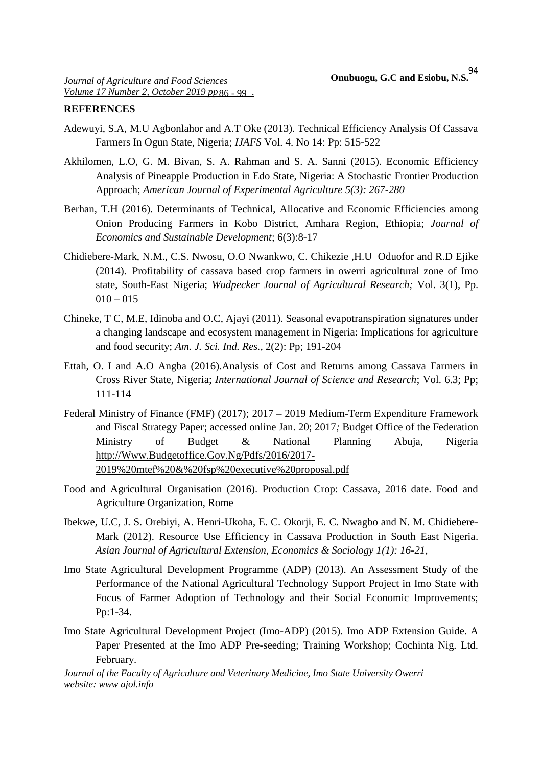#### **REFERENCES**

- Adewuyi, S.A, M.U Agbonlahor and A.T Oke (2013). Technical Efficiency Analysis Of Cassava Farmers In Ogun State, Nigeria; *IJAFS* Vol. 4. No 14: Pp: 515-522
- Akhilomen, L.O, G. M. Bivan, S. A. Rahman and S. A. Sanni (2015). Economic Efficiency Analysis of Pineapple Production in Edo State, Nigeria: A Stochastic Frontier Production Approach; *American Journal of Experimental Agriculture 5(3): 267-280*
- Berhan, T.H (2016). Determinants of Technical, Allocative and Economic Efficiencies among Onion Producing Farmers in Kobo District, Amhara Region, Ethiopia; *Journal of Economics and Sustainable Development*; 6(3):8-17
- Chidiebere-Mark, N.M., C.S. Nwosu, O.O Nwankwo, C. Chikezie ,H.U Oduofor and R.D Ejike (2014). Profitability of cassava based crop farmers in owerri agricultural zone of Imo state, South-East Nigeria; *Wudpecker Journal of Agricultural Research;* Vol. 3(1), Pp.  $010 - 015$
- Chineke, T C, M.E, Idinoba and O.C, Ajayi (2011). Seasonal evapotranspiration signatures under a changing landscape and ecosystem management in Nigeria: Implications for agriculture and food security; *Am. J. Sci. Ind. Res.,* 2(2): Pp; 191-204
- Ettah, O. I and A.O Angba (2016).Analysis of Cost and Returns among Cassava Farmers in Cross River State, Nigeria; *International Journal of Science and Research*; Vol. 6.3; Pp; 111-114
- Federal Ministry of Finance (FMF) (2017); 2017 2019 Medium-Term Expenditure Framework and Fiscal Strategy Paper; accessed online Jan. 20; 2017*;* Budget Office of the Federation Ministry of Budget & National Planning Abuja, Nigeria http://Www.Budgetoffice.Gov.Ng/Pdfs/2016/2017- 2019%20mtef%20&%20fsp%20executive%20proposal.pdf
- Food and Agricultural Organisation (2016). Production Crop: Cassava, 2016 date. Food and Agriculture Organization, Rome
- Ibekwe, U.C, J. S. Orebiyi, A. Henri-Ukoha, E. C. Okorji, E. C. Nwagbo and N. M. Chidiebere- Mark (2012). Resource Use Efficiency in Cassava Production in South East Nigeria. *Asian Journal of Agricultural Extension, Economics & Sociology 1(1): 16-21,*
- Imo State Agricultural Development Programme (ADP) (2013). An Assessment Study of the Performance of the National Agricultural Technology Support Project in Imo State with Focus of Farmer Adoption of Technology and their Social Economic Improvements; Pp:1-34.
- Imo State Agricultural Development Project (Imo-ADP) (2015). Imo ADP Extension Guide. A Paper Presented at the Imo ADP Pre-seeding; Training Workshop; Cochinta Nig. Ltd. February.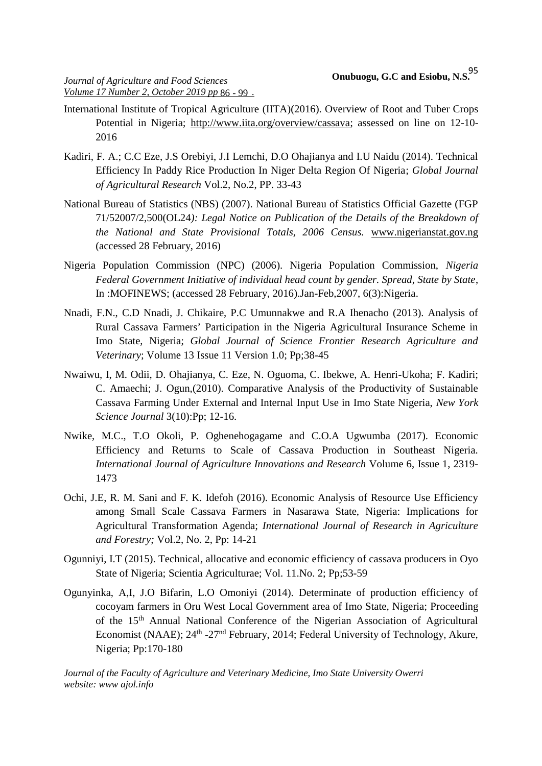- International Institute of Tropical Agriculture (IITA)(2016). Overview of Root and Tuber Crops Potential in Nigeria; http://www.iita.org/overview/cassava; assessed on line on 12-10- 2016
- Kadiri, F. A.; C.C Eze, J.S Orebiyi, J.I Lemchi, D.O Ohajianya and I.U Naidu (2014). Technical Efficiency In Paddy Rice Production In Niger Delta Region Of Nigeria; *Global Journal of Agricultural Research* Vol.2, No.2, PP. 33-43
- National Bureau of Statistics (NBS) (2007). National Bureau of Statistics Official Gazette (FGP 71/52007/2,500(OL24*): Legal Notice on Publication of the Details of the Breakdown of the National and State Provisional Totals, 2006 Census.* www.nigerianstat.gov.ng (accessed 28 February, 2016)
- Nigeria Population Commission (NPC) (2006). Nigeria Population Commission, *Nigeria Federal Government Initiative of individual head count by gender. Spread, State by State*, In :MOFINEWS; (accessed 28 February, 2016).Jan-Feb,2007, 6(3):Nigeria.
- Nnadi, F.N., C.D Nnadi, J. Chikaire, P.C Umunnakwe and R.A Ihenacho (2013). Analysis of Rural Cassava Farmers' Participation in the Nigeria Agricultural Insurance Scheme in Imo State, Nigeria; *Global Journal of Science Frontier Research Agriculture and Veterinary*; Volume 13 Issue 11 Version 1.0; Pp;38-45
- Nwaiwu, I, M. Odii, D. Ohajianya, C. Eze, N. Oguoma, C. Ibekwe, A. Henri-Ukoha; F. Kadiri; C. Amaechi; J. Ogun,(2010). Comparative Analysis of the Productivity of Sustainable Cassava Farming Under External and Internal Input Use in Imo State Nigeria, *New York Science Journal* 3(10):Pp; 12-16.
- Nwike, M.C., T.O Okoli, P. Oghenehogagame and C.O.A Ugwumba (2017). Economic Efficiency and Returns to Scale of Cassava Production in Southeast Nigeria. *International Journal of Agriculture Innovations and Research* Volume 6, Issue 1, 2319- 1473
- Ochi, J.E, R. M. Sani and F. K. Idefoh (2016). Economic Analysis of Resource Use Efficiency among Small Scale Cassava Farmers in Nasarawa State, Nigeria: Implications for Agricultural Transformation Agenda; *International Journal of Research in Agriculture and Forestry;* Vol.2, No. 2, Pp: 14-21
- Ogunniyi, I.T (2015). Technical, allocative and economic efficiency of cassava producers in Oyo State of Nigeria; Scientia Agriculturae; Vol. 11.No. 2; Pp;53-59
- Ogunyinka, A,I, J.O Bifarin, L.O Omoniyi (2014). Determinate of production efficiency of cocoyam farmers in Oru West Local Government area of Imo State, Nigeria; Proceeding of the 15th Annual National Conference of the Nigerian Association of Agricultural Economist (NAAE); 24<sup>th</sup> -27<sup>nd</sup> February, 2014; Federal University of Technology, Akure, Nigeria; Pp:170-180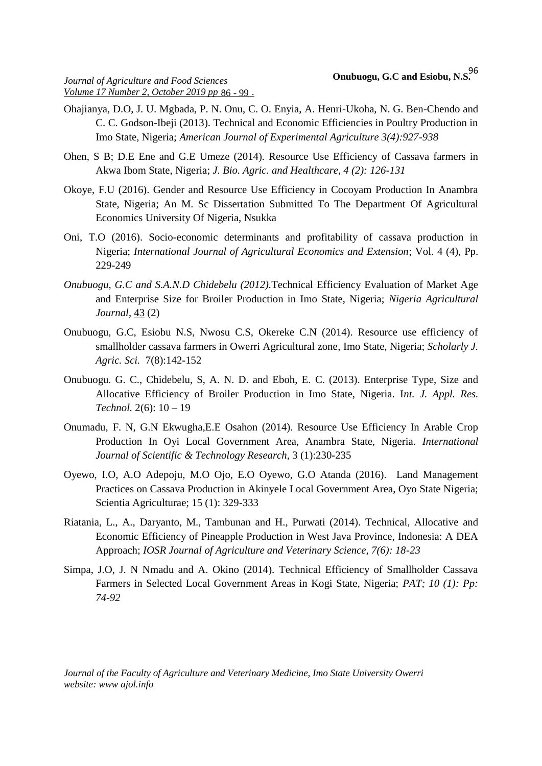- Ohajianya, D.O, J. U. Mgbada, P. N. Onu, C. O. Enyia, A. Henri-Ukoha, N. G. Ben-Chendo and C. C. Godson-Ibeji (2013). Technical and Economic Efficiencies in Poultry Production in Imo State, Nigeria; *American Journal of Experimental Agriculture 3(4):927-938*
- Ohen, S B; D.E Ene and G.E Umeze (2014). Resource Use Efficiency of Cassava farmers in Akwa Ibom State, Nigeria; *J. Bio. Agric. and Healthcare, 4 (2): 126-131*
- Okoye, F.U (2016). Gender and Resource Use Efficiency in Cocoyam Production In Anambra State, Nigeria; An M. Sc Dissertation Submitted To The Department Of Agricultural Economics University Of Nigeria, Nsukka
- Oni, T.O (2016). Socio-economic determinants and profitability of cassava production in Nigeria; *International Journal of Agricultural Economics and Extension*; Vol. 4 (4), Pp. 229-249
- *Onubuogu, G.C and S.A.N.D Chidebelu (2012).*Technical Efficiency Evaluation of Market Age and Enterprise Size for Broiler Production in Imo State, Nigeria; *Nigeria Agricultural Journal*, 43 (2)
- Onubuogu, G.C, Esiobu N.S, Nwosu C.S, Okereke C.N (2014). Resource use efficiency of smallholder cassava farmers in Owerri Agricultural zone, Imo State, Nigeria; *Scholarly J. Agric. Sci.* 7(8):142-152
- Onubuogu. G. C., Chidebelu, S, A. N. D. and Eboh, E. C. (2013). Enterprise Type, Size and Allocative Efficiency of Broiler Production in Imo State, Nigeria. I*nt. J. Appl. Res. Technol.* 2(6): 10 – 19
- Onumadu, F. N, G.N Ekwugha,E.E Osahon (2014). Resource Use Efficiency In Arable Crop Production In Oyi Local Government Area, Anambra State, Nigeria. *International Journal of Scientific & Technology Research,* 3 (1):230-235
- Oyewo, I.O, A.O Adepoju, M.O Ojo, E.O Oyewo, G.O Atanda (2016). Land Management Practices on Cassava Production in Akinyele Local Government Area, Oyo State Nigeria; Scientia Agriculturae; 15 (1): 329-333
- Riatania, L., A., Daryanto, M., Tambunan and H., Purwati (2014). Technical, Allocative and Economic Efficiency of Pineapple Production in West Java Province, Indonesia: A DEA Approach; *IOSR Journal of Agriculture and Veterinary Science, 7(6): 18-23*
- Simpa, J.O, J. N Nmadu and A. Okino (2014). Technical Efficiency of Smallholder Cassava Farmers in Selected Local Government Areas in Kogi State, Nigeria; *PAT; 10 (1): Pp: 74-92*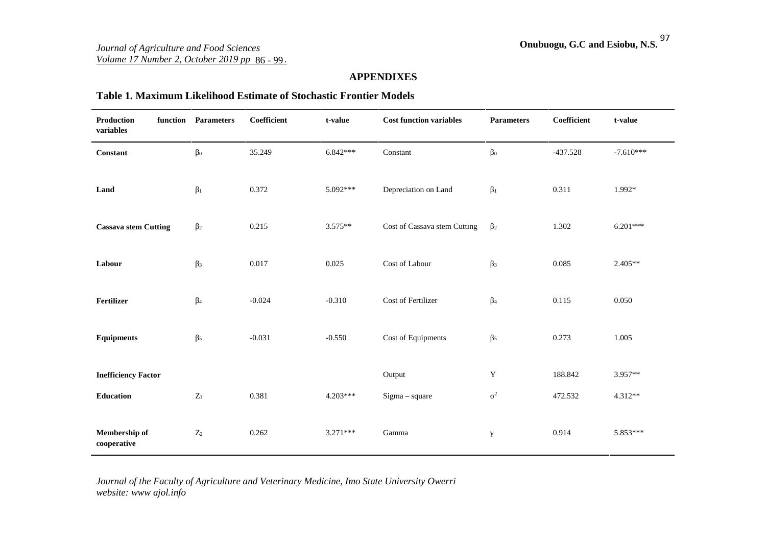### **APPENDIXES**

#### **Table 1. Maximum Likelihood Estimate of Stochastic Frontier Models**

| <b>Production</b><br>variables | function Parameters | Coefficient | t-value    | <b>Cost function variables</b> | <b>Parameters</b>       | Coefficient | t-value     |
|--------------------------------|---------------------|-------------|------------|--------------------------------|-------------------------|-------------|-------------|
| <b>Constant</b>                | $\mathbf{0}$        | 35.249      | $6.842***$ | Constant                       | $\mathbf{0}$            | $-437.528$  | $-7.610***$ |
| Land                           | $\overline{1}$      | 0.372       | 5.092***   | Depreciation on Land           | $\overline{1}$          | 0.311       | 1.992*      |
| <b>Cassava stem Cutting</b>    | $\overline{2}$      | 0.215       | $3.575**$  | Cost of Cassava stem Cutting   | $\overline{2}$          | 1.302       | $6.201***$  |
| Labour                         | $\overline{3}$      | 0.017       | 0.025      | Cost of Labour                 | $\overline{\mathbf{3}}$ | 0.085       | $2.405**$   |
| Fertilizer                     | $\overline{4}$      | $-0.024$    | $-0.310$   | Cost of Fertilizer             | $\overline{4}$          | 0.115       | 0.050       |
| <b>Equipments</b>              | 5 <sup>5</sup>      | $-0.031$    | $-0.550$   | Cost of Equipments             | $\overline{5}$          | 0.273       | 1.005       |
| <b>Inefficiency Factor</b>     |                     |             |            | Output                         | $\mathbf Y$             | 188.842     | 3.957**     |
| <b>Education</b>               | $\mathbf{Z}_1$      | 0.381       | $4.203***$ | $Sigma - square$               | $\overline{2}$          | 472.532     | $4.312**$   |
| Membership of<br>cooperative   | $\mathbf{Z}_2$      | 0.262       | $3.271***$ | Gamma                          |                         | 0.914       | 5.853***    |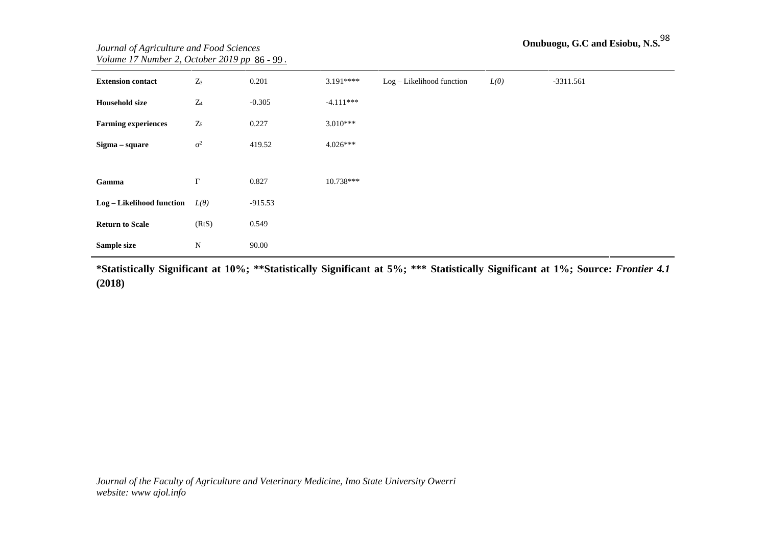| <b>Extension contact</b>   | $Z_3$          | 0.201     | $3.191***$  | Log-Likelihood function | L( ) | $-3311.561$ |
|----------------------------|----------------|-----------|-------------|-------------------------|------|-------------|
| <b>Household size</b>      | $Z_4$          | $-0.305$  | $-4.111***$ |                         |      |             |
| <b>Farming experiences</b> | $\mathbf{Z}_5$ | 0.227     | $3.010***$  |                         |      |             |
| Sigma - square             | $\overline{c}$ | 419.52    | $4.026***$  |                         |      |             |
|                            |                |           |             |                         |      |             |
| Gamma                      |                | 0.827     | 10.738***   |                         |      |             |
| Log - Likelihood function  | L( )           | $-915.53$ |             |                         |      |             |
| <b>Return to Scale</b>     | (RtS)          | 0.549     |             |                         |      |             |
| Sample size                | ${\bf N}$      | 90.00     |             |                         |      |             |

**\*Statistically Significant at 10%; \*\*Statistically Significant at 5%; \*\*\* Statistically Significant at 1%; Source:** *Frontier 4.1* **(2018)**